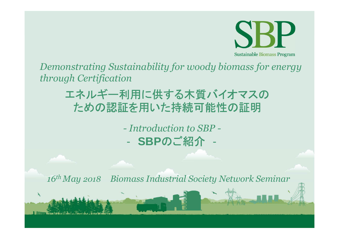

Demonstrating Sustainability for woody biomass for energy through Certification

# エネルギー利用に供する木質バイオマスの ための認証を用いた持続可能性の証明

- Introduction to SBP -- SBPのご紹介

 $16$ <sup>th</sup> May 2018 **Biomass Industrial Society Network Seminar**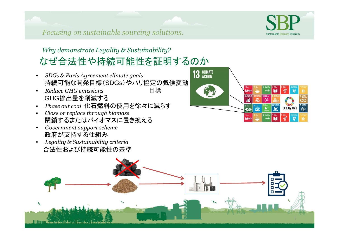## *Why demonstrate Legality & Sustainability?* なぜ合法性や持続可能性を証明するのか

- • *DGs Paris Agreeent cliate goals*持続可能な開発目標(SDGs)やパリ協定の気候変動
- $\bullet$ **Reduce GHG emissions** 目標 GHG排出量を削減する
- *Pase out coal* 化石燃料の使用を徐々に減らす•
- •*Close or replace through biomass* 閉鎖するまたはバイオマスに置き換える
- $\bullet$ *Government support scheme* 政府が支持する仕組み
- *Legality & Sustainability criteria* •合法性および持続可能性の基準





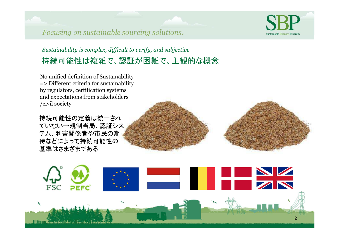### *Sustainability is complex, difficult to verify, and subjective* 持続可能性は複雑で、認証が困難で、主観的な概念

No unified definition of Sustainability => Different criteria for sustainability by regulators, certification systems and expectations from stakeholders /civil society

持続可能性の定義は統一され ていない→規制当局、認証シス テム、利害関係者や市民の期 待などによって持続可能性の基準はさまざまである





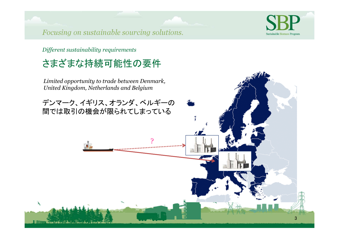

Different sustainability requirements

# さまざまな持続可能性の要件

Limited opportunity to trade between Denmark, United Kingdom, Netherlands and Belgium

デンマーク、イギリス、オランダ、ベルギーの 間では取引の機会が限られてしまっている

. . . . . . . . . . . . . . . .

 $\mathcal{A}$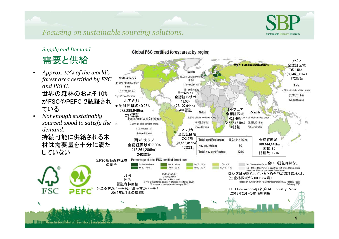

### **Supply and Demand**

需要と供給

- Approx. 10% of the world's •*forest area certified by FSC* and PEFC. 世界の森林のおよそ10% がFSCやPEFCで認証されている
- Not enough sustainably •*sourced wood to satisfy the* demand.

持続可能に供給される木 材は需要量を十分に満たしていない

**FSC** 

Global FSC certified forest area: by region

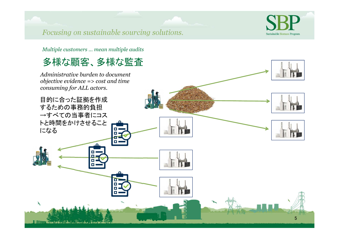

Multiple customers ... mean multiple audits

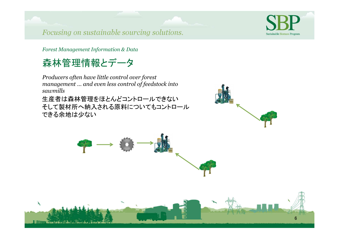

6

*Forest Management Information & Data* 

## 森林管理情報とデータ

 $\lambda$ 

*Producers often have little control over forest* management … and even less control of feedstock into *saills*

 生産者は森林管理をほとんどコントロールできない そして製材所へ納入される原料についてもコントロールできる余地は少ない



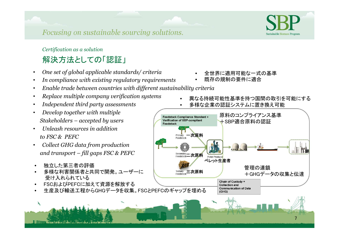### *Certification as a solution*

## 解決方法としての「認証」

- $\bullet$ *One set of global applicable standards/ criteria*
- **•** In compliance with existing regulatory requirements -
- $\bullet$ *Enable trade between countries with different sustainability criteria*
- -*Replace multiple company verification systems*
- $\bullet$ *Independent third party assessments*
- -*Develop together with multiple taeolers - accepte b users*
- -*<u>Unleash resources in addition</u> to FC PEFC*
- Collect GHG data from production  $\bullet$  *an transport - fill gaps FC PEFC*
- •独立した第三者の評価
- 多様な利害関係者と共同で開発。ユーザーに•受け入れられている
- FSCおよびPEFCに加えて資源を解放する•
- 生産及び輸送工程からGHGデータを収集。FSCとPEFCのギャップを埋める•
- •全世界に適用可能な一式の基準
- •既存の規制の要件に適合
- •異なる持続可能性基準を持つ国間の取引を可能にする

7

Sustainable Biomass Program

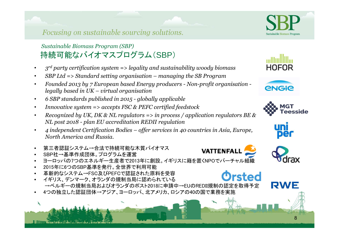### **Sustainable Biomass Program (SBP)** 持続可能なバイオマスプログラム(SBP)

- -*<u><i>z*<sup>rd</sup> party certification system => legality and sustainability woody biomass</u>
- $\bullet$ • SBP Ltd => Standard setting organisation – managing the SB Program
- $\bullet$ *Founded 2013 by 7 European based Energy producers - Non-profit organisation* legally based in UK – virtual organisation
- 6 SBP standards published in 2015 globally applicable  $\bullet$
- $\bullet$ *Innovative sustem => accepts FSC & PEFC certified feedstock*
- Recognized by UK, DK  $\&$  NL regulators => in process / application regulators BE  $\&$  $\bullet$ *<i>NL* post 2018 - plan EU accreditation REDII regulation
- *4* independent Certification Bodies offer services in 40 countries in Asia, Europe,  $\bullet$ *North America and Russia.*
- •第三者認証システム→合法で持続可能な木質バイオマス
- •SBP社→基準作成団体。プログラムを運営
- ヨーロッパの7つのエネルギー生産者で2013年に創設。イギリスに籍を置くNPOでバーチャル組織•
- •2015年に6つのSBP基準を発行。全世界で利用可能
- 革新的なシステム→FSC及びPEFCで認証された原料を受容•
- Orsted イギリス、デンマーク、オランダの規制当局に認められている•→ベルギーの規制当局およびオランダのポスト2018に申請中→EUのREDII規制の認定を取得予定
- •4つの独立した認証団体→アジア、ヨーロッパ、北アメリカ、ロシアの40の国で業務を実施



Sustainable Biomass Prograi









VATTENFAL



8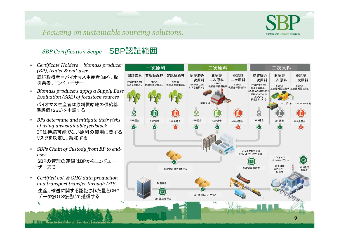



#### **SBP** Certification Scope SBP認証範囲

- *Certificate Holers = bioass proucer (BP), trader & end-user*  認証取得者=バイオマス生産者(BP)、取引業者、エンドユーザー
- *Biomass producers apply a Supply Base Evaluation (SBE) of feedstock sources* バイオマス生産者は原料供給地の供給基準評価(SBE)を申請する
- *BPs determine and mitigate their risks of using unsustainable feedstock*  BPは持続可能でない原料の使用に関するリスクを決定し、緩和する
- •*SBPs Chain of Custody from BP to enduser* SBPの管理の連鎖はBPからエンドユーザーまで
- $\bullet$ *Certified vol. & GHG data production and transport transfer through DTS*  生産、輸送に関する認証された量とGHGデータをDTSを通じて送信する

**BUTIN' Grace i al Grandial ni wa Island** 

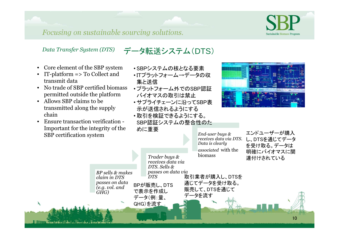

10

*Focusing on sustainable sourcing solutions.*

*<i>RP sells & makes claim in DTS passes on ata (e.g. vol. and*)

*GHG)*

### *Data Transfer System (DTS)* データ転送システム(DTS)

- •Core element of the SBP system
- IT-platform => To Collect and transmit data
- No trade of SBP certified biomass permitted outside the platform
- Allows SBP claims to be transmitted along the supply chain

 $\mathcal{A}$ 

**The Committee of the Committee of the Committee of the Committee of the Committee of the Committee of the Committee of the Committee of the Committee of the Committee of the Committee of the Committee of the Committee of** 

 Ensure transaction verification - $\bullet$  Important for the integrity of the SBP certification system

- SBPシステムの核となる要素
- •ITプラットフォーム→データの収 集と送信
- プラットフォーム外でのSBP認証バイオマスの取引は禁止
- サプライチェーンに沿ってSBP表示が送信されるようにする
- 取引を検証できるようにする。 SBP認証システムの整合性のために重要

*Trader buus & receives ata via DTS. Sells &* 

*DT*

BPが販売し、DTSで表示を作成し データ(例:量、GHG)を流す

*passes on ata via* 



*End-user buus & receives ata via DT.* Data is clearly *associated* with the biomass エンドユーザーが購入 し、DTSを通じてデータ を受け取る。データは 明確にバイオマスに関連付けされている

取引業者が購入し、DTSを

 通じてデータを受け取る。販売して、DTSを通じて

データを流す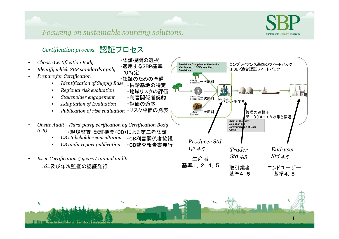

・認証機関の選択

の特定

・適用するSBP基準

・地域リスクの評価

·利害関係者契約

・評価の適応



### Certification process 認証プロセス

- Choose Certification Body
- Identify which SBP standards apply
- Prepare for Certification
	- ・認証のための準備 Identification of Supply Base  $\bullet$ ・供給基地の特定
	- Regional risk evaluation  $\bullet$
	- Stakeholder engagement  $\bullet$
	- **Adaptation of Evaluation**  $\bullet$
	- Publication of risk evaluation ·リスク評価の発表  $\bullet$
- Onsite Audit Third-party verification by Certification Body  $(CB)$ ・現場監査-認証機関(CB)による第三者認証
	- CB stakeholder consultation ·CB利害関係者協議
	- CB audit report publication ·CB監査報告書発行  $\bullet$
- Issue Certification 5 years / annual audits  $\bullet$ 5年及び年次監査の認証発行



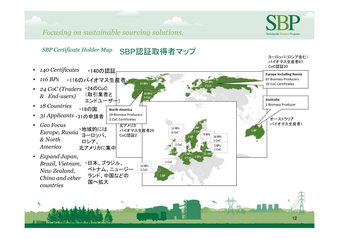



ヨーロッパ(ロシア含む)バイオマス生産者87

*SBP Certificate Holder Map* SBP認証取得者マップ



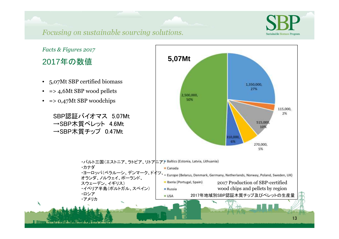

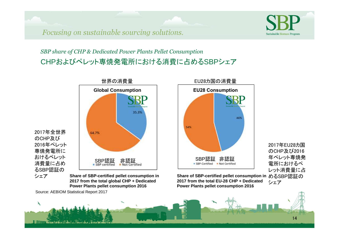

*SBP share of CHP & Dedicated Power Plants Pellet Consumption* CHPおよびペレット専焼発電所における消費に占めるSBPシェア

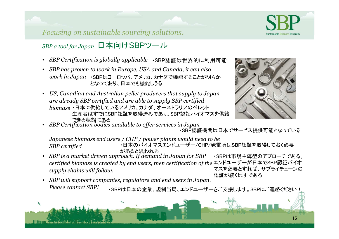

### *P a tool for Japan*日本向けSBPツール

Y

- *SBP Certification is globally applicable* ・SBP認証は世界的に利用可能
- *SBP has proven to work in Europe, USA and Canada, it can also*  $\emph{work}$   $\emph{in Japan}$  ・SBPはヨーロッパ、アメリカ、カナダで機能することが明らか となっており、日本でも機能しうる
- US, Canadian and Australian pellet producers that supply to Japan *are already SBP certified and are able to supply SBP certified*  $biomass$ ・日本に供給しているアメリカ、カナダ、オーストラリアのペレット 生産者はすでにSBP認証を取得済みであり、SBP認証バイオマスを供給できる状態にある



• *P Certification boies available to offer services in Japan* ・SBP認証機関は日本でサービス提供可能となっている

*Japanese biomass end users / CHP / power plants would need to be*  ・日本のバイオマスエンドユーザー/CHP/発電所はSBP認証を取得しておく必要**SBP** certified があると思われる

- *SBP is a market driven approach. If demand in Japan for SBP* certified biomass is created by end users, then certification of the supply chains will follow. ・SBPは市場主導型のアプローチである。 エンドユーザーが日本でSBP認証バイオ マスを必要とすれば、サプライチェーンの認証が続くはずである
- *SBP will support companies, regulators and end users in Japan. Please contact SBP!* ・SBPは日本の企業、規制当局、エンドユーザーをご支援します。SBPにご連絡ください!